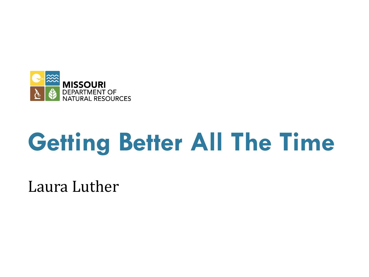

# **Getting Better All The Time**

Laura Luther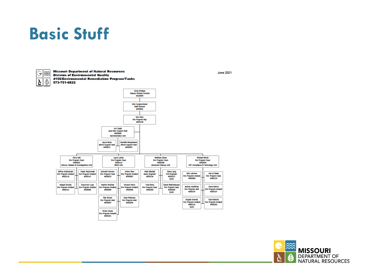#### **Basic Stuff**



**Missouri Department of Natural Resources Division of Environmental Quality** 4156/Environmental Remediation Program/Tanks 573-751-6822



**MISSOURI** DEPARTMENT OF Y **NATURAL RESOURCES** 

**June 2021**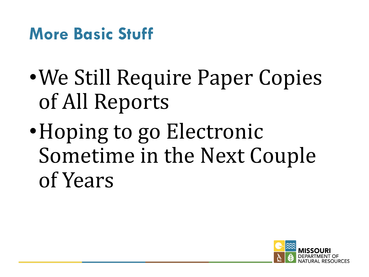#### **More Basic Stuff**

- We Still Require Paper Copies of All Reports
- Hoping to go Electronic Sometime in the Next Couple of Years

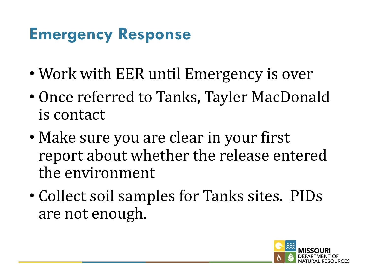# **Emergency Response**

- Work with EER until Emergency is over
- Once referred to Tanks, Tayler MacDonald is contact
- Make sure you are clear in your first report about whether the release entered the environment
- Collect soil samples for Tanks sites. PIDs are not enough.

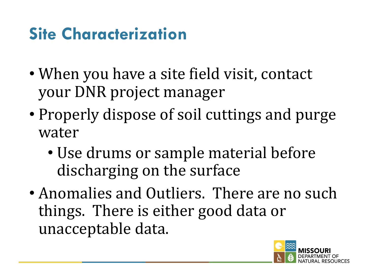# **Site Characterization**

- When you have a site field visit, contact your DNR project manager
- Properly dispose of soil cuttings and purge water
	- Use drums or sample material before discharging on the surface
- Anomalies and Outliers. There are no such things. There is either good data or unacceptable data.

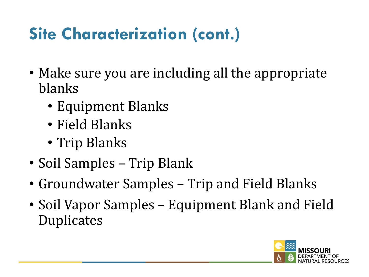# **Site Characterization (cont.)**

- Make sure you are including all the appropriate blanks
	- Equipment Blanks
	- Field Blanks
	- Trip Blanks
- Soil Samples Trip Blank
- Groundwater Samples Trip and Field Blanks
- Soil Vapor Samples Equipment Blank and Field Duplicates

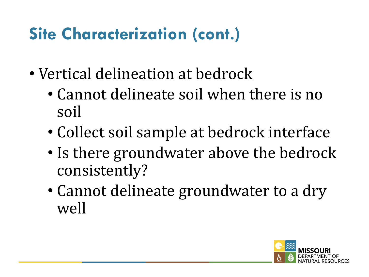# **Site Characterization (cont.)**

- Vertical delineation at bedrock
	- Cannot delineate soil when there is no soil
	- Collect soil sample at bedrock interface
	- Is there groundwater above the bedrock consistently?
	- Cannot delineate groundwater to a dry well

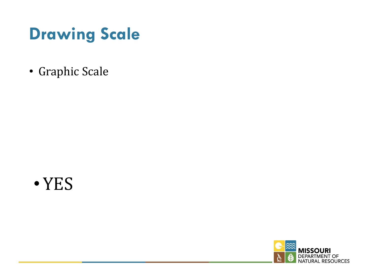### **Drawing Scale**

• Graphic Scale



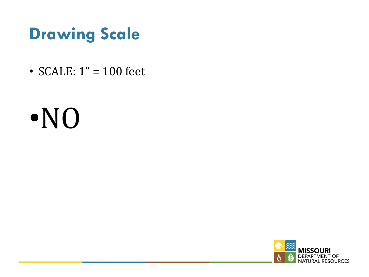#### **Drawing Scale**

• SCALE:  $1" = 100$  feet

# •NO

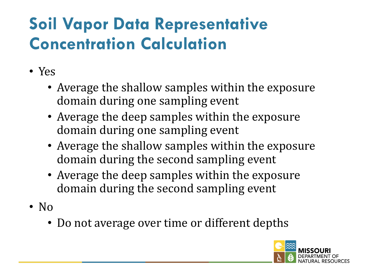# **Soil Vapor Data Representative Concentration Calculation**

- Yes
	- Average the shallow samples within the exposure domain during one sampling event
	- Average the deep samples within the exposure domain during one sampling event
	- Average the shallow samples within the exposure domain during the second sampling event
	- Average the deep samples within the exposure domain during the second sampling event
- No
	- Do not average over time or different depths

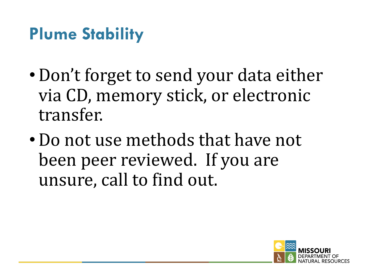### **Plume Stability**

- Don't forget to send your data either via CD, memory stick, or electronic transfer.
- Do not use methods that have not been peer reviewed. If you are unsure, call to find out.

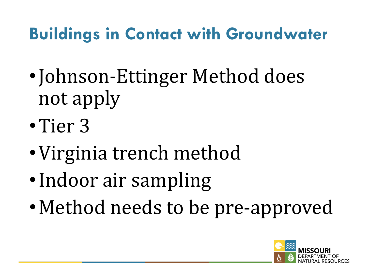# **Buildings in Contact with Groundwater**

- •Johnson-Ettinger Method does not apply
- •Tier 3
- Virginia trench method
- •Indoor air sampling
- Method needs to be pre-approved

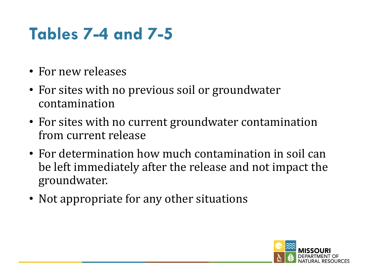# **Tables 7-4 and 7-5**

- For new releases
- For sites with no previous soil or groundwater contamination
- For sites with no current groundwater contamination from current release
- For determination how much contamination in soil can be left immediately after the release and not impact the groundwater.
- Not appropriate for any other situations